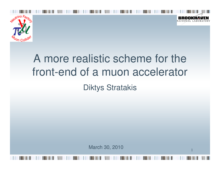

## A more realistic scheme for the front-end of a muon acceleratorDiktys Stratakis

March 30, 2010

1

NATIONAL LABOR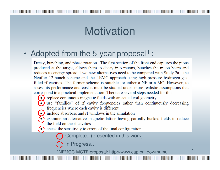## **Motivation**

#### •Adopted from the 5-year proposal<sup>1</sup> :

Decay, bunching, and phase rotation. The first section of the front end captures the pions produced at the target, allows them to decay into muons, bunches the muon beam and reduces its energy spread. Two new alternatives need to be compared with Study 2a—the Neuffer 12-bunch scheme and the LEMC approach using high-pressure hydrogen-gasfilled rf cavities. The former scheme is suitable for either a NF or a MC. However, to assess its performance and cost it must be studied under more realistic assumptions that correspond to a practical implementation. There are several steps needed for this:

- replace continuous magnetic fields with an actual coil geometry
- use "families" of rf cavity frequencies rather than continuously decreasing frequencies where each cavity is different
	- include absorbers and rf windows in the simulation
- examine an alternative magnetic lattice having partially bucked fields to reduce the field on the rf cavities
- $\bullet\bullet$  check the sensitivity to errors of the final configuration
	- Completed (presented in this work)
	- $\bigcap$  In Progress...

1NFMCC-MCTF proposal: http://www.cap.bnl.gov/mumu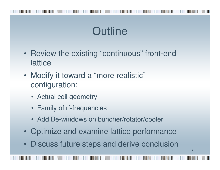## **Outline**

- Review the existing "continuous" front-end **lattice**
- Modify it toward a "more realistic"configuration:
	- Actual coil geometry
	- Family of rf-frequencies
	- Add Be-windows on buncher/rotator/cooler
- Optimize and examine lattice performance
- Discuss future steps and derive conclusion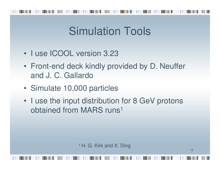## Simulation Tools

- I use ICOOL version 3.23
- Front-end deck kindly provided by D. Neufferand J. C. Gallardo
- Simulate 10,000 particles
- I use the input distribution for 8 GeV protons obtained from MARS runs<sup>1</sup>

<sup>1</sup> H. G. Kirk and X. Ding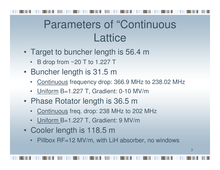## Parameters of "Continuous **Lattice**

- Target to buncher length is 56.4 m
	- B drop from ~20 T to 1.227 T
- Buncher length is 31.5 m
	- Continuous frequency drop: 366.9 MHz to 238.02 MHz •
	- Uniform B=1.227 T, Gradient: 0-10 MV/m
- Phase Rotator length is 36.5 m
	- <u>Continuous</u> freq. drop: 238 MHz to 202 MHz
	- Uniform B=1.227 T, Gradient: 9 MV/m
- Cooler length is 118.5 m
	- Pillbox RF=12 MV/m, with LiH absorber, no windows•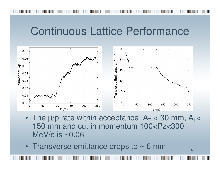### Continuous Lattice Performance



- The  $\mu$ /p rate within acceptance  $\, {\sf A}_{\sf T} \,$  $_{T}$  < 30 mm, A<sub>L</sub>< 150 mm and cut in momentum 100<Pz<300 MeV/c is ~0.06
- Transverse emittance drops to  $\sim$  6 mm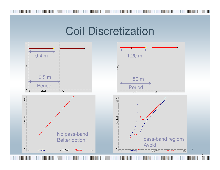### Coil Discretization

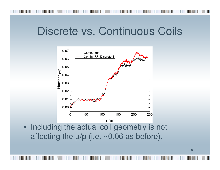### Discrete vs. Continuous Coils



• Including the actual coil geometry is not affecting the  $\mu$ /p (i.e. ~0.06 as before).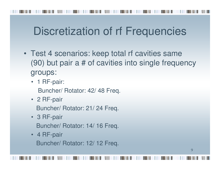# Discretization of rf Frequencies

- Test 4 scenarios: keep total rf cavities same (90) but pair a # of cavities into single frequencygroups:
	- 1 RF-pair: Buncher/ Rotator: 42/ 48 Freq.
	- 2 RF-pair

Buncher/ Rotator: 21/ 24 Freq.

- 3 RF-pair Buncher/ Rotator: 14/ 16 Freq.
- 4 RF-pair Buncher/ Rotator: 12/ 12 Freq.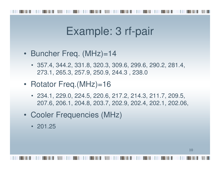## Example: 3 rf-pair

- Buncher Freq. (MHz)=14
	- 357.4, 344.2, 331.8, 320.3, 309.6, 299.6, 290.2, 281.4, 273.1, 265.3, 257.9, 250.9, 244.3 , 238.0
- Rotator Freq.(MHz)=16
	- 234.1, 229.0, 224.5, 220.6, 217.2, 214.3, 211.7, 209.5, 207.6, 206.1, 204.8, 203.7, 202.9, 202.4, 202.1, 202.06,
- Cooler Frequencies (MHz)
	- 201.25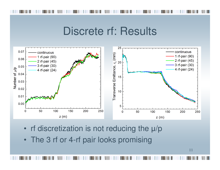#### Discrete rf: Results



- rf discretization is not reducing the µ/p
- The 3 rf or 4-rf pair looks promising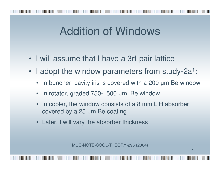## Addition of Windows

- I will assume that I have a 3rf-pair lattice
- I adopt the window parameters from study-2a<sup>1</sup> :
	- In buncher, cavity iris is covered with a 200 µ<sup>m</sup> Be window
	- •In rotator, graded 750-1500 µ<sup>m</sup> Be window
	- •In cooler, the window consists of a  $8 \text{ mm}$  LiH absorber covered by a 25 µ<sup>m</sup> Be coating
	- •Later, I will vary the absorber thickness

<sup>1</sup>MUC-NOTE-COOL-THEORY-296 (2004)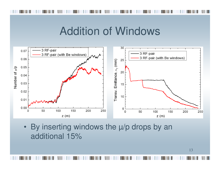### Addition of Windows



• By inserting windows the µ/p drops by an additional 15%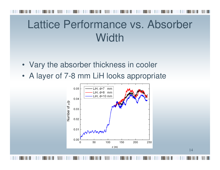## Lattice Performance vs. Absorber **Width**

- Vary the absorber thickness in cooler
- A layer of 7-8 mm LiH looks appropriate